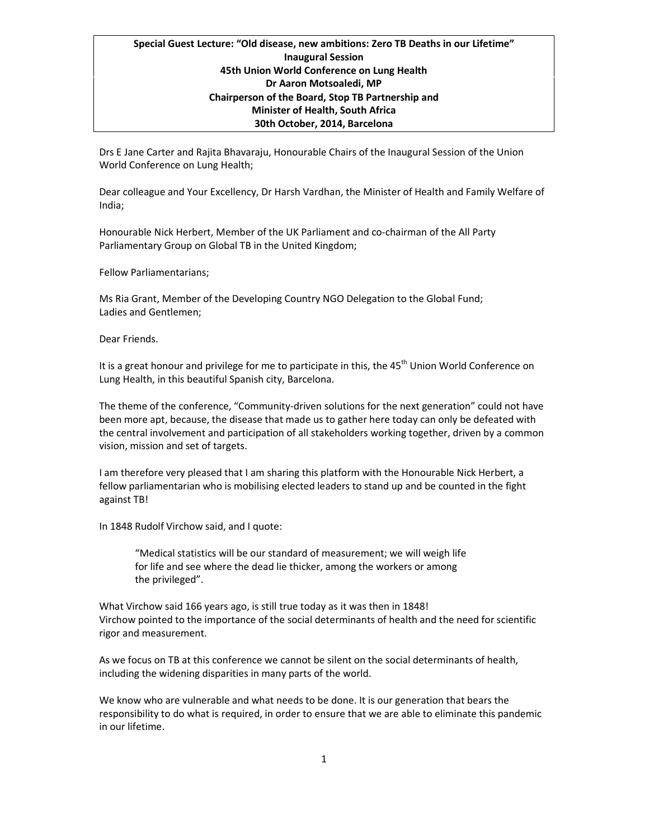## Special Guest Lecture: "Old disease, new ambitions: Zero TB Deaths in our Lifetime" Inaugural Session 45th Union World Conference on Lung Health Dr Aaron Motsoaledi, MP Chairperson of the Board, Stop TB Partnership and Minister of Health, South Africa 30th October, 2014, Barcelona

Drs E Jane Carter and Rajita Bhavaraju, Honourable Chairs of the Inaugural Session of the Union World Conference on Lung Health;

Dear colleague and Your Excellency, Dr Harsh Vardhan, the Minister of Health and Family Welfare of India;

Honourable Nick Herbert, Member of the UK Parliament and co-chairman of the All Party Parliamentary Group on Global TB in the United Kingdom;

Fellow Parliamentarians;

Ms Ria Grant, Member of the Developing Country NGO Delegation to the Global Fund; Ladies and Gentlemen;

Dear Friends.

It is a great honour and privilege for me to participate in this, the  $45<sup>th</sup>$  Union World Conference on Lung Health, in this beautiful Spanish city, Barcelona.

The theme of the conference, "Community-driven solutions for the next generation" could not have been more apt, because, the disease that made us to gather here today can only be defeated with the central involvement and participation of all stakeholders working together, driven by a common vision, mission and set of targets.

I am therefore very pleased that I am sharing this platform with the Honourable Nick Herbert, a fellow parliamentarian who is mobilising elected leaders to stand up and be counted in the fight against TB!

In 1848 Rudolf Virchow said, and I quote:

"Medical statistics will be our standard of measurement; we will weigh life for life and see where the dead lie thicker, among the workers or among the privileged".

What Virchow said 166 years ago, is still true today as it was then in 1848! Virchow pointed to the importance of the social determinants of health and the need for scientific rigor and measurement.

As we focus on TB at this conference we cannot be silent on the social determinants of health, including the widening disparities in many parts of the world.

We know who are vulnerable and what needs to be done. It is our generation that bears the responsibility to do what is required, in order to ensure that we are able to eliminate this pandemic in our lifetime.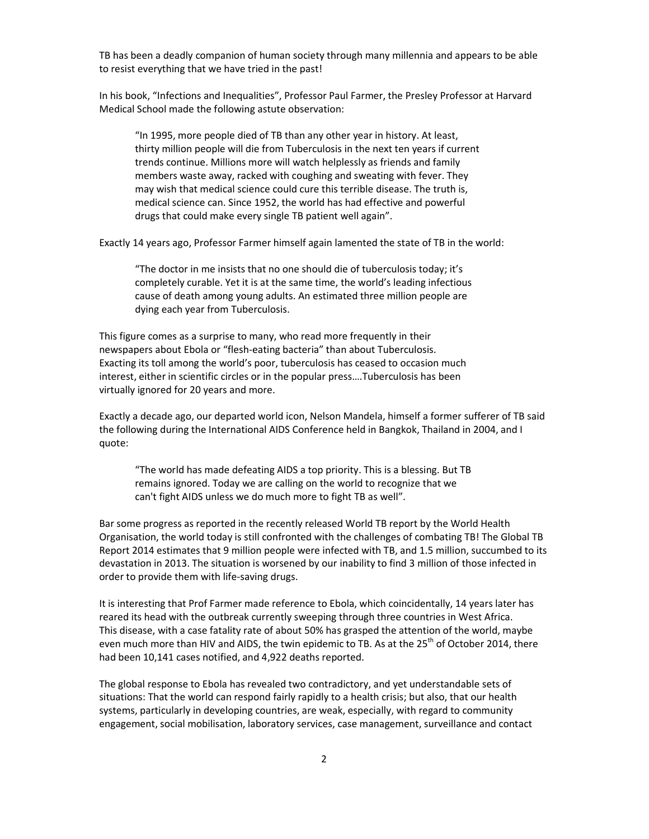TB has been a deadly companion of human society through many millennia and appears to be able to resist everything that we have tried in the past!

In his book, "Infections and Inequalities", Professor Paul Farmer, the Presley Professor at Harvard Medical School made the following astute observation:

"In 1995, more people died of TB than any other year in history. At least, thirty million people will die from Tuberculosis in the next ten years if current trends continue. Millions more will watch helplessly as friends and family members waste away, racked with coughing and sweating with fever. They may wish that medical science could cure this terrible disease. The truth is, medical science can. Since 1952, the world has had effective and powerful drugs that could make every single TB patient well again".

Exactly 14 years ago, Professor Farmer himself again lamented the state of TB in the world:

"The doctor in me insists that no one should die of tuberculosis today; it's completely curable. Yet it is at the same time, the world's leading infectious cause of death among young adults. An estimated three million people are dying each year from Tuberculosis.

This figure comes as a surprise to many, who read more frequently in their newspapers about Ebola or "flesh-eating bacteria" than about Tuberculosis. Exacting its toll among the world's poor, tuberculosis has ceased to occasion much interest, either in scientific circles or in the popular press….Tuberculosis has been virtually ignored for 20 years and more.

Exactly a decade ago, our departed world icon, Nelson Mandela, himself a former sufferer of TB said the following during the International AIDS Conference held in Bangkok, Thailand in 2004, and I quote:

"The world has made defeating AIDS a top priority. This is a blessing. But TB remains ignored. Today we are calling on the world to recognize that we can't fight AIDS unless we do much more to fight TB as well".

Bar some progress as reported in the recently released World TB report by the World Health Organisation, the world today is still confronted with the challenges of combating TB! The Global TB Report 2014 estimates that 9 million people were infected with TB, and 1.5 million, succumbed to its devastation in 2013. The situation is worsened by our inability to find 3 million of those infected in order to provide them with life-saving drugs.

It is interesting that Prof Farmer made reference to Ebola, which coincidentally, 14 years later has reared its head with the outbreak currently sweeping through three countries in West Africa. This disease, with a case fatality rate of about 50% has grasped the attention of the world, maybe even much more than HIV and AIDS, the twin epidemic to TB. As at the 25<sup>th</sup> of October 2014, there had been 10,141 cases notified, and 4,922 deaths reported.

The global response to Ebola has revealed two contradictory, and yet understandable sets of situations: That the world can respond fairly rapidly to a health crisis; but also, that our health systems, particularly in developing countries, are weak, especially, with regard to community engagement, social mobilisation, laboratory services, case management, surveillance and contact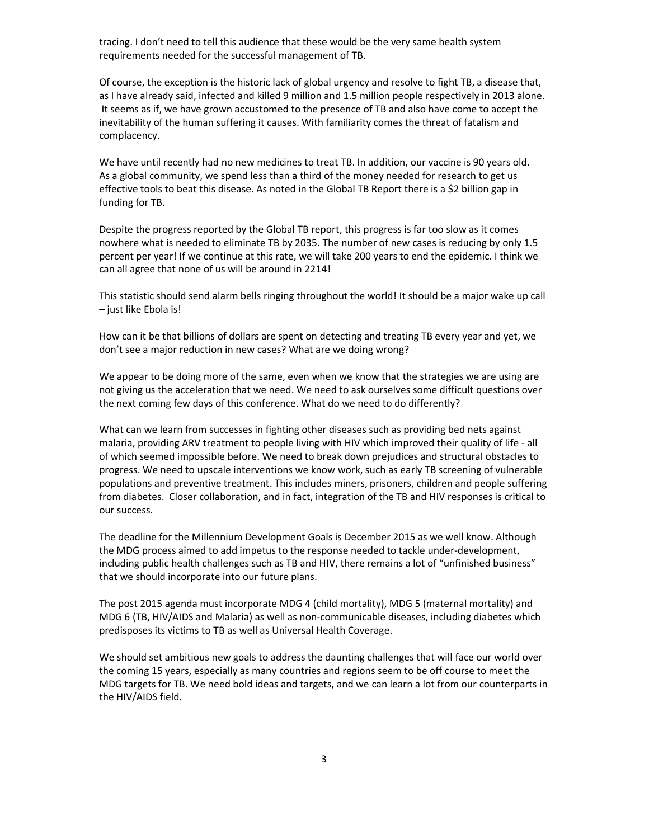tracing. I don't need to tell this audience that these would be the very same health system requirements needed for the successful management of TB.

Of course, the exception is the historic lack of global urgency and resolve to fight TB, a disease that, as I have already said, infected and killed 9 million and 1.5 million people respectively in 2013 alone. It seems as if, we have grown accustomed to the presence of TB and also have come to accept the inevitability of the human suffering it causes. With familiarity comes the threat of fatalism and complacency.

We have until recently had no new medicines to treat TB. In addition, our vaccine is 90 years old. As a global community, we spend less than a third of the money needed for research to get us effective tools to beat this disease. As noted in the Global TB Report there is a \$2 billion gap in funding for TB.

Despite the progress reported by the Global TB report, this progress is far too slow as it comes nowhere what is needed to eliminate TB by 2035. The number of new cases is reducing by only 1.5 percent per year! If we continue at this rate, we will take 200 years to end the epidemic. I think we can all agree that none of us will be around in 2214!

This statistic should send alarm bells ringing throughout the world! It should be a major wake up call – just like Ebola is!

How can it be that billions of dollars are spent on detecting and treating TB every year and yet, we don't see a major reduction in new cases? What are we doing wrong?

We appear to be doing more of the same, even when we know that the strategies we are using are not giving us the acceleration that we need. We need to ask ourselves some difficult questions over the next coming few days of this conference. What do we need to do differently?

What can we learn from successes in fighting other diseases such as providing bed nets against malaria, providing ARV treatment to people living with HIV which improved their quality of life - all of which seemed impossible before. We need to break down prejudices and structural obstacles to progress. We need to upscale interventions we know work, such as early TB screening of vulnerable populations and preventive treatment. This includes miners, prisoners, children and people suffering from diabetes. Closer collaboration, and in fact, integration of the TB and HIV responses is critical to our success.

The deadline for the Millennium Development Goals is December 2015 as we well know. Although the MDG process aimed to add impetus to the response needed to tackle under-development, including public health challenges such as TB and HIV, there remains a lot of "unfinished business" that we should incorporate into our future plans.

The post 2015 agenda must incorporate MDG 4 (child mortality), MDG 5 (maternal mortality) and MDG 6 (TB, HIV/AIDS and Malaria) as well as non-communicable diseases, including diabetes which predisposes its victims to TB as well as Universal Health Coverage.

We should set ambitious new goals to address the daunting challenges that will face our world over the coming 15 years, especially as many countries and regions seem to be off course to meet the MDG targets for TB. We need bold ideas and targets, and we can learn a lot from our counterparts in the HIV/AIDS field.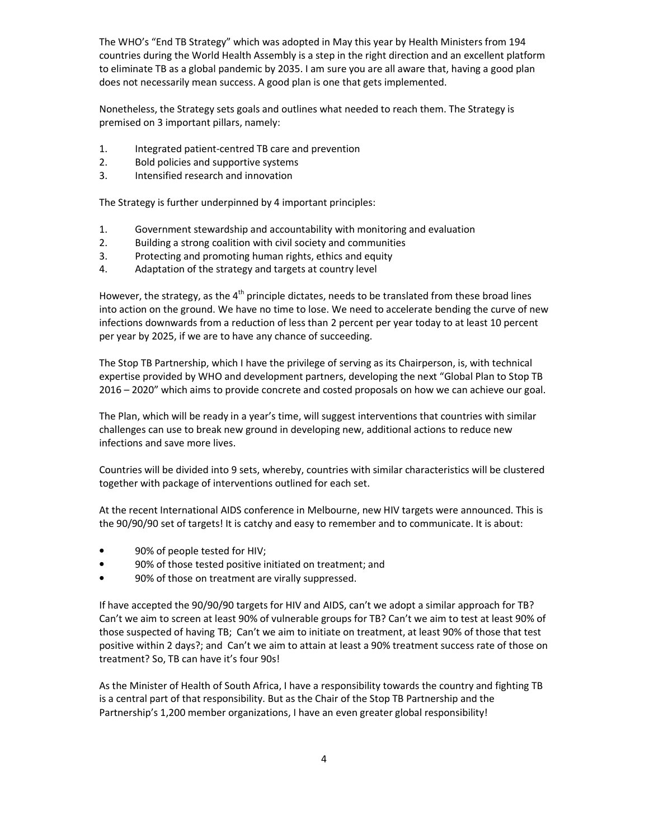The WHO's "End TB Strategy" which was adopted in May this year by Health Ministers from 194 countries during the World Health Assembly is a step in the right direction and an excellent platform to eliminate TB as a global pandemic by 2035. I am sure you are all aware that, having a good plan does not necessarily mean success. A good plan is one that gets implemented.

Nonetheless, the Strategy sets goals and outlines what needed to reach them. The Strategy is premised on 3 important pillars, namely:

- 1. Integrated patient-centred TB care and prevention
- 2. Bold policies and supportive systems
- 3. Intensified research and innovation

The Strategy is further underpinned by 4 important principles:

- 1. Government stewardship and accountability with monitoring and evaluation
- 2. Building a strong coalition with civil society and communities
- 3. Protecting and promoting human rights, ethics and equity
- 4. Adaptation of the strategy and targets at country level

However, the strategy, as the  $4<sup>th</sup>$  principle dictates, needs to be translated from these broad lines into action on the ground. We have no time to lose. We need to accelerate bending the curve of new infections downwards from a reduction of less than 2 percent per year today to at least 10 percent per year by 2025, if we are to have any chance of succeeding.

The Stop TB Partnership, which I have the privilege of serving as its Chairperson, is, with technical expertise provided by WHO and development partners, developing the next "Global Plan to Stop TB 2016 – 2020" which aims to provide concrete and costed proposals on how we can achieve our goal.

The Plan, which will be ready in a year's time, will suggest interventions that countries with similar challenges can use to break new ground in developing new, additional actions to reduce new infections and save more lives.

Countries will be divided into 9 sets, whereby, countries with similar characteristics will be clustered together with package of interventions outlined for each set.

At the recent International AIDS conference in Melbourne, new HIV targets were announced. This is the 90/90/90 set of targets! It is catchy and easy to remember and to communicate. It is about:

- 90% of people tested for HIV;
- 90% of those tested positive initiated on treatment; and
- 90% of those on treatment are virally suppressed.

If have accepted the 90/90/90 targets for HIV and AIDS, can't we adopt a similar approach for TB? Can't we aim to screen at least 90% of vulnerable groups for TB? Can't we aim to test at least 90% of those suspected of having TB; Can't we aim to initiate on treatment, at least 90% of those that test positive within 2 days?; and Can't we aim to attain at least a 90% treatment success rate of those on treatment? So, TB can have it's four 90s!

As the Minister of Health of South Africa, I have a responsibility towards the country and fighting TB is a central part of that responsibility. But as the Chair of the Stop TB Partnership and the Partnership's 1,200 member organizations, I have an even greater global responsibility!